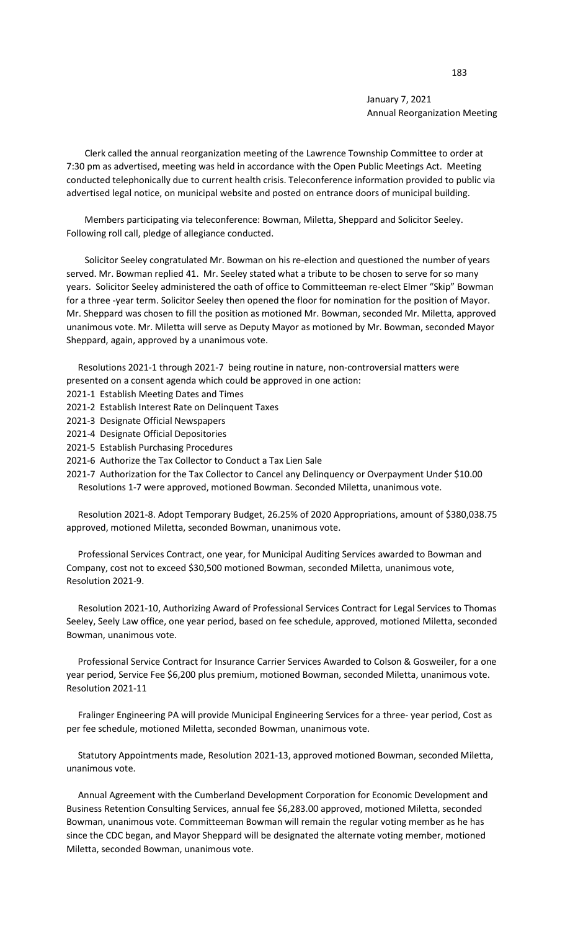January 7, 2021 Annual Reorganization Meeting

 Clerk called the annual reorganization meeting of the Lawrence Township Committee to order at 7:30 pm as advertised, meeting was held in accordance with the Open Public Meetings Act. Meeting conducted telephonically due to current health crisis. Teleconference information provided to public via advertised legal notice, on municipal website and posted on entrance doors of municipal building.

 Members participating via teleconference: Bowman, Miletta, Sheppard and Solicitor Seeley. Following roll call, pledge of allegiance conducted.

 Solicitor Seeley congratulated Mr. Bowman on his re-election and questioned the number of years served. Mr. Bowman replied 41. Mr. Seeley stated what a tribute to be chosen to serve for so many years. Solicitor Seeley administered the oath of office to Committeeman re-elect Elmer "Skip" Bowman for a three -year term. Solicitor Seeley then opened the floor for nomination for the position of Mayor. Mr. Sheppard was chosen to fill the position as motioned Mr. Bowman, seconded Mr. Miletta, approved unanimous vote. Mr. Miletta will serve as Deputy Mayor as motioned by Mr. Bowman, seconded Mayor Sheppard, again, approved by a unanimous vote.

 Resolutions 2021-1 through 2021-7 being routine in nature, non-controversial matters were presented on a consent agenda which could be approved in one action:

- 2021-1 Establish Meeting Dates and Times
- 2021-2 Establish Interest Rate on Delinquent Taxes
- 2021-3 Designate Official Newspapers
- 2021-4 Designate Official Depositories
- 2021-5 Establish Purchasing Procedures
- 2021-6 Authorize the Tax Collector to Conduct a Tax Lien Sale

2021-7 Authorization for the Tax Collector to Cancel any Delinquency or Overpayment Under \$10.00 Resolutions 1-7 were approved, motioned Bowman. Seconded Miletta, unanimous vote.

 Resolution 2021-8. Adopt Temporary Budget, 26.25% of 2020 Appropriations, amount of \$380,038.75 approved, motioned Miletta, seconded Bowman, unanimous vote.

 Professional Services Contract, one year, for Municipal Auditing Services awarded to Bowman and Company, cost not to exceed \$30,500 motioned Bowman, seconded Miletta, unanimous vote, Resolution 2021-9.

 Resolution 2021-10, Authorizing Award of Professional Services Contract for Legal Services to Thomas Seeley, Seely Law office, one year period, based on fee schedule, approved, motioned Miletta, seconded Bowman, unanimous vote.

 Professional Service Contract for Insurance Carrier Services Awarded to Colson & Gosweiler, for a one year period, Service Fee \$6,200 plus premium, motioned Bowman, seconded Miletta, unanimous vote. Resolution 2021-11

 Fralinger Engineering PA will provide Municipal Engineering Services for a three- year period, Cost as per fee schedule, motioned Miletta, seconded Bowman, unanimous vote.

 Statutory Appointments made, Resolution 2021-13, approved motioned Bowman, seconded Miletta, unanimous vote.

 Annual Agreement with the Cumberland Development Corporation for Economic Development and Business Retention Consulting Services, annual fee \$6,283.00 approved, motioned Miletta, seconded Bowman, unanimous vote. Committeeman Bowman will remain the regular voting member as he has since the CDC began, and Mayor Sheppard will be designated the alternate voting member, motioned Miletta, seconded Bowman, unanimous vote.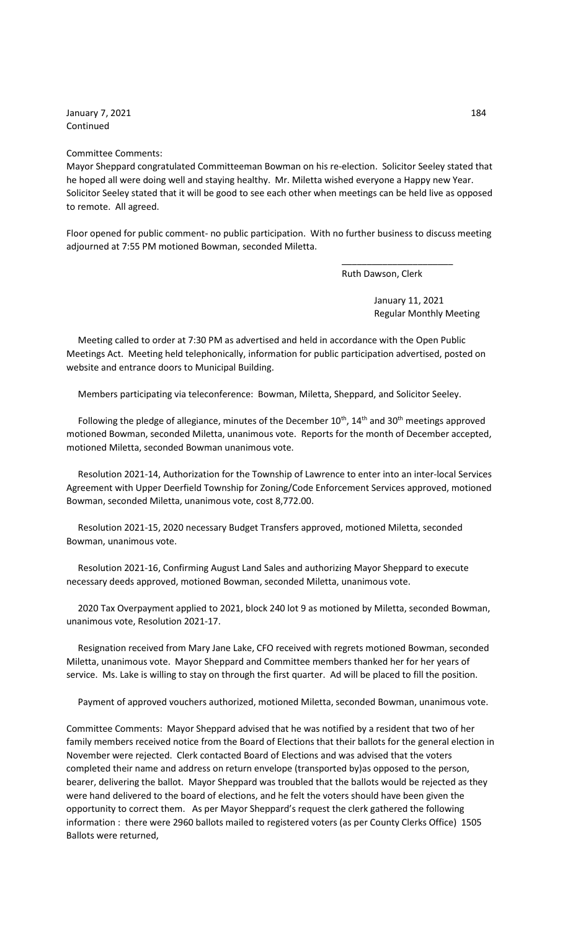January 7, 2021 284 Continued

## Committee Comments:

Mayor Sheppard congratulated Committeeman Bowman on his re-election. Solicitor Seeley stated that he hoped all were doing well and staying healthy. Mr. Miletta wished everyone a Happy new Year. Solicitor Seeley stated that it will be good to see each other when meetings can be held live as opposed to remote. All agreed.

Floor opened for public comment- no public participation. With no further business to discuss meeting adjourned at 7:55 PM motioned Bowman, seconded Miletta.

 $\overline{\phantom{a}}$  , and the contract of the contract of the contract of the contract of the contract of the contract of the contract of the contract of the contract of the contract of the contract of the contract of the contrac

Ruth Dawson, Clerk

 January 11, 2021 Regular Monthly Meeting

 Meeting called to order at 7:30 PM as advertised and held in accordance with the Open Public Meetings Act. Meeting held telephonically, information for public participation advertised, posted on website and entrance doors to Municipal Building.

Members participating via teleconference: Bowman, Miletta, Sheppard, and Solicitor Seeley.

Following the pledge of allegiance, minutes of the December  $10^{th}$ ,  $14^{th}$  and  $30^{th}$  meetings approved motioned Bowman, seconded Miletta, unanimous vote. Reports for the month of December accepted, motioned Miletta, seconded Bowman unanimous vote.

 Resolution 2021-14, Authorization for the Township of Lawrence to enter into an inter-local Services Agreement with Upper Deerfield Township for Zoning/Code Enforcement Services approved, motioned Bowman, seconded Miletta, unanimous vote, cost 8,772.00.

 Resolution 2021-15, 2020 necessary Budget Transfers approved, motioned Miletta, seconded Bowman, unanimous vote.

 Resolution 2021-16, Confirming August Land Sales and authorizing Mayor Sheppard to execute necessary deeds approved, motioned Bowman, seconded Miletta, unanimous vote.

 2020 Tax Overpayment applied to 2021, block 240 lot 9 as motioned by Miletta, seconded Bowman, unanimous vote, Resolution 2021-17.

 Resignation received from Mary Jane Lake, CFO received with regrets motioned Bowman, seconded Miletta, unanimous vote. Mayor Sheppard and Committee members thanked her for her years of service. Ms. Lake is willing to stay on through the first quarter. Ad will be placed to fill the position.

Payment of approved vouchers authorized, motioned Miletta, seconded Bowman, unanimous vote.

Committee Comments: Mayor Sheppard advised that he was notified by a resident that two of her family members received notice from the Board of Elections that their ballots for the general election in November were rejected. Clerk contacted Board of Elections and was advised that the voters completed their name and address on return envelope (transported by)as opposed to the person, bearer, delivering the ballot. Mayor Sheppard was troubled that the ballots would be rejected as they were hand delivered to the board of elections, and he felt the voters should have been given the opportunity to correct them. As per Mayor Sheppard's request the clerk gathered the following information : there were 2960 ballots mailed to registered voters (as per County Clerks Office) 1505 Ballots were returned,